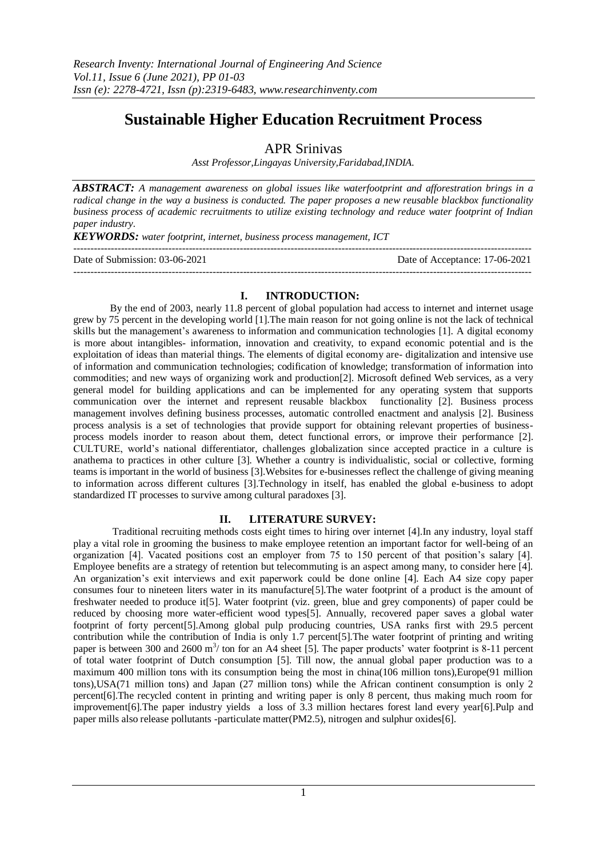# **Sustainable Higher Education Recruitment Process**

APR Srinivas

*Asst Professor,Lingayas University,Faridabad,INDIA.*

*ABSTRACT: A management awareness on global issues like waterfootprint and afforestration brings in a radical change in the way a business is conducted. The paper proposes a new reusable blackbox functionality business process of academic recruitments to utilize existing technology and reduce water footprint of Indian paper industry.*

*KEYWORDS: water footprint, internet, business process management, ICT*

--------------------------------------------------------------------------------------------------------------------------------------- Date of Submission: 03-06-2021 Date of Acceptance: 17-06-2021 ---------------------------------------------------------------------------------------------------------------------------------------

## **I. INTRODUCTION:**

By the end of 2003, nearly 11.8 percent of global population had access to internet and internet usage grew by 75 percent in the developing world [1].The main reason for not going online is not the lack of technical skills but the management's awareness to information and communication technologies [1]. A digital economy is more about intangibles- information, innovation and creativity, to expand economic potential and is the exploitation of ideas than material things. The elements of digital economy are- digitalization and intensive use of information and communication technologies; codification of knowledge; transformation of information into commodities; and new ways of organizing work and production[2]. Microsoft defined Web services, as a very general model for building applications and can be implemented for any operating system that supports communication over the internet and represent reusable blackbox functionality [2]. Business process management involves defining business processes, automatic controlled enactment and analysis [2]. Business process analysis is a set of technologies that provide support for obtaining relevant properties of businessprocess models inorder to reason about them, detect functional errors, or improve their performance [2]. CULTURE, world's national differentiator, challenges globalization since accepted practice in a culture is anathema to practices in other culture [3]. Whether a country is individualistic, social or collective, forming teams is important in the world of business [3].Websites for e-businesses reflect the challenge of giving meaning to information across different cultures [3].Technology in itself, has enabled the global e-business to adopt standardized IT processes to survive among cultural paradoxes [3].

# **II. LITERATURE SURVEY:**

Traditional recruiting methods costs eight times to hiring over internet [4].In any industry, loyal staff play a vital role in grooming the business to make employee retention an important factor for well-being of an organization [4]. Vacated positions cost an employer from 75 to 150 percent of that position's salary [4]. Employee benefits are a strategy of retention but telecommuting is an aspect among many, to consider here [4]. An organization's exit interviews and exit paperwork could be done online [4]. Each A4 size copy paper consumes four to nineteen liters water in its manufacture[5].The water footprint of a product is the amount of freshwater needed to produce it[5]. Water footprint (viz. green, blue and grey components) of paper could be reduced by choosing more water-efficient wood types[5]. Annually, recovered paper saves a global water footprint of forty percent[5].Among global pulp producing countries, USA ranks first with 29.5 percent contribution while the contribution of India is only 1.7 percent[5].The water footprint of printing and writing paper is between 300 and 2600  $m<sup>3</sup>$  ton for an A4 sheet [5]. The paper products' water footprint is 8-11 percent of total water footprint of Dutch consumption [5]. Till now, the annual global paper production was to a maximum 400 million tons with its consumption being the most in china(106 million tons),Europe(91 million tons),USA(71 million tons) and Japan (27 million tons) while the African continent consumption is only 2 percent[6].The recycled content in printing and writing paper is only 8 percent, thus making much room for improvement[6].The paper industry yields a loss of 3.3 million hectares forest land every year[6].Pulp and paper mills also release pollutants -particulate matter(PM2.5), nitrogen and sulphur oxides[6].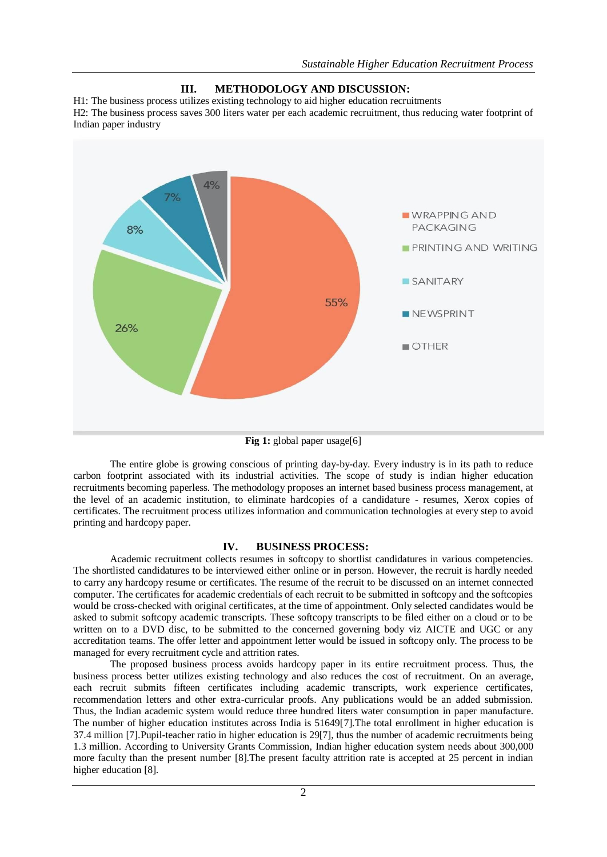

## **III. METHODOLOGY AND DISCUSSION:**

H1: The business process utilizes existing technology to aid higher education recruitments H2: The business process saves 300 liters water per each academic recruitment, thus reducing water footprint of Indian paper industry

The entire globe is growing conscious of printing day-by-day. Every industry is in its path to reduce carbon footprint associated with its industrial activities. The scope of study is indian higher education recruitments becoming paperless. The methodology proposes an internet based business process management, at the level of an academic institution, to eliminate hardcopies of a candidature - resumes, Xerox copies of certificates. The recruitment process utilizes information and communication technologies at every step to avoid printing and hardcopy paper.

#### **IV. BUSINESS PROCESS:**

Academic recruitment collects resumes in softcopy to shortlist candidatures in various competencies. The shortlisted candidatures to be interviewed either online or in person. However, the recruit is hardly needed to carry any hardcopy resume or certificates. The resume of the recruit to be discussed on an internet connected computer. The certificates for academic credentials of each recruit to be submitted in softcopy and the softcopies would be cross-checked with original certificates, at the time of appointment. Only selected candidates would be asked to submit softcopy academic transcripts. These softcopy transcripts to be filed either on a cloud or to be written on to a DVD disc, to be submitted to the concerned governing body viz AICTE and UGC or any accreditation teams. The offer letter and appointment letter would be issued in softcopy only. The process to be managed for every recruitment cycle and attrition rates.

The proposed business process avoids hardcopy paper in its entire recruitment process. Thus, the business process better utilizes existing technology and also reduces the cost of recruitment. On an average, each recruit submits fifteen certificates including academic transcripts, work experience certificates, recommendation letters and other extra-curricular proofs. Any publications would be an added submission. Thus, the Indian academic system would reduce three hundred liters water consumption in paper manufacture. The number of higher education institutes across India is 51649[7].The total enrollment in higher education is 37.4 million [7].Pupil-teacher ratio in higher education is 29[7], thus the number of academic recruitments being 1.3 million. According to University Grants Commission, Indian higher education system needs about 300,000 more faculty than the present number [8].The present faculty attrition rate is accepted at 25 percent in indian higher education [8].

**Fig 1:** global paper usage[6]